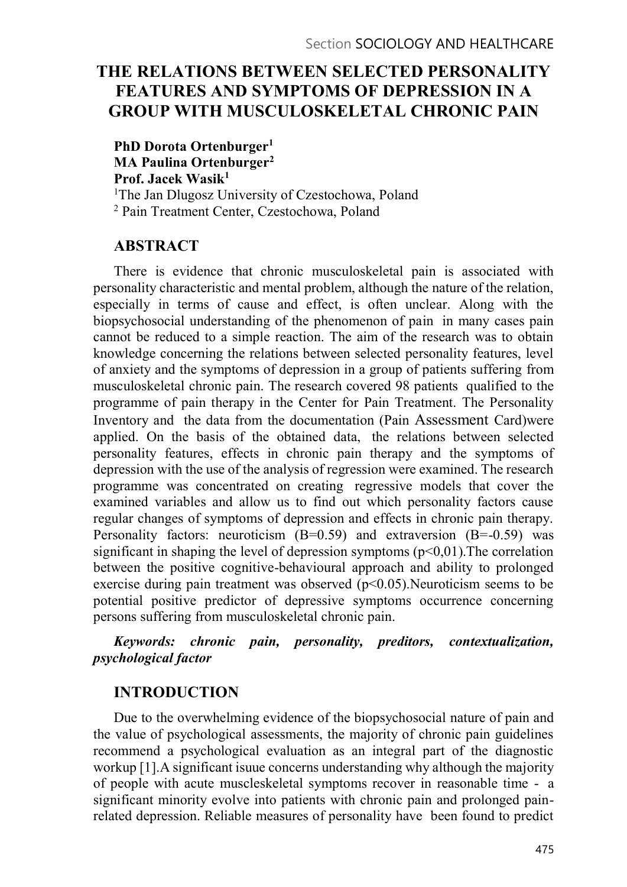# THE RELATIONS BETWEEN SELECTED PERSONALITY FEATURES AND SYMPTOMS OF DEPRESSION IN A GROUP WITH MUSCULOSKELETAL CHRONIC PAIN

PhD Dorota Ortenburger<sup>1</sup> MA Paulina Ortenburger<sup>2</sup> Prof. Jacek Wasik<sup>1</sup> <sup>1</sup>The Jan Dlugosz University of Czestochowa, Poland 2 Pain Treatment Center, Czestochowa, Poland

# ABSTRACT

There is evidence that chronic musculoskeletal pain is associated with personality characteristic and mental problem, although the nature of the relation, especially in terms of cause and effect, is often unclear. Along with the biopsychosocial understanding of the phenomenon of pain in many cases pain cannot be reduced to a simple reaction. The aim of the research was to obtain knowledge concerning the relations between selected personality features, level of anxiety and the symptoms of depression in a group of patients suffering from musculoskeletal chronic pain. The research covered 98 patients qualified to the programme of pain therapy in the Center for Pain Treatment. The Personality Inventory and the data from the documentation (Pain Assessment Card)were applied. On the basis of the obtained data, the relations between selected personality features, effects in chronic pain therapy and the symptoms of depression with the use of the analysis of regression were examined. The research programme was concentrated on creating regressive models that cover the examined variables and allow us to find out which personality factors cause regular changes of symptoms of depression and effects in chronic pain therapy. Personality factors: neuroticism  $(B=0.59)$  and extraversion  $(B=-0.59)$  was significant in shaping the level of depression symptoms  $(p<0,01)$ . The correlation between the positive cognitive-behavioural approach and ability to prolonged exercise during pain treatment was observed (p<0.05).Neuroticism seems to be potential positive predictor of depressive symptoms occurrence concerning persons suffering from musculoskeletal chronic pain.

# Keywords: chronic pain, personality, preditors, contextualization, psychological factor

# INTRODUCTION

Due to the overwhelming evidence of the biopsychosocial nature of pain and the value of psychological assessments, the majority of chronic pain guidelines recommend a psychological evaluation as an integral part of the diagnostic workup [1].A significant isuue concerns understanding why although the majority of people with acute muscleskeletal symptoms recover in reasonable time - a significant minority evolve into patients with chronic pain and prolonged painrelated depression. Reliable measures of personality have been found to predict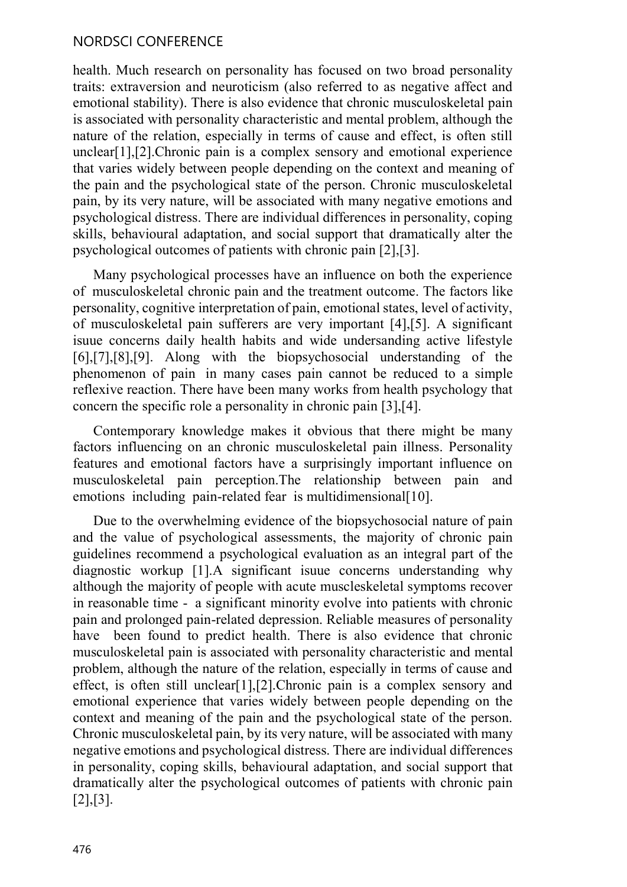# NORDSCI CONFERENCE

health. Much research on personality has focused on two broad personality traits: extraversion and neuroticism (also referred to as negative affect and emotional stability). There is also evidence that chronic musculoskeletal pain is associated with personality characteristic and mental problem, although the nature of the relation, especially in terms of cause and effect, is often still unclear[1],[2].Chronic pain is a complex sensory and emotional experience that varies widely between people depending on the context and meaning of the pain and the psychological state of the person. Chronic musculoskeletal pain, by its very nature, will be associated with many negative emotions and psychological distress. There are individual differences in personality, coping skills, behavioural adaptation, and social support that dramatically alter the psychological outcomes of patients with chronic pain [2],[3].

Many psychological processes have an influence on both the experience of musculoskeletal chronic pain and the treatment outcome. The factors like personality, cognitive interpretation of pain, emotional states, level of activity, of musculoskeletal pain sufferers are very important [4],[5]. A significant isuue concerns daily health habits and wide undersanding active lifestyle [6],[7],[8],[9]. Along with the biopsychosocial understanding of the phenomenon of pain in many cases pain cannot be reduced to a simple reflexive reaction. There have been many works from health psychology that concern the specific role a personality in chronic pain [3],[4].

Contemporary knowledge makes it obvious that there might be many factors influencing on an chronic musculoskeletal pain illness. Personality features and emotional factors have a surprisingly important influence on musculoskeletal pain perception.The relationship between pain and emotions including pain-related fear is multidimensional[10].

Due to the overwhelming evidence of the biopsychosocial nature of pain and the value of psychological assessments, the majority of chronic pain guidelines recommend a psychological evaluation as an integral part of the diagnostic workup [1].A significant isuue concerns understanding why although the majority of people with acute muscleskeletal symptoms recover in reasonable time - a significant minority evolve into patients with chronic pain and prolonged pain-related depression. Reliable measures of personality have been found to predict health. There is also evidence that chronic musculoskeletal pain is associated with personality characteristic and mental problem, although the nature of the relation, especially in terms of cause and effect, is often still unclear[1], [2]. Chronic pain is a complex sensory and emotional experience that varies widely between people depending on the context and meaning of the pain and the psychological state of the person. Chronic musculoskeletal pain, by its very nature, will be associated with many negative emotions and psychological distress. There are individual differences in personality, coping skills, behavioural adaptation, and social support that dramatically alter the psychological outcomes of patients with chronic pain [2],[3].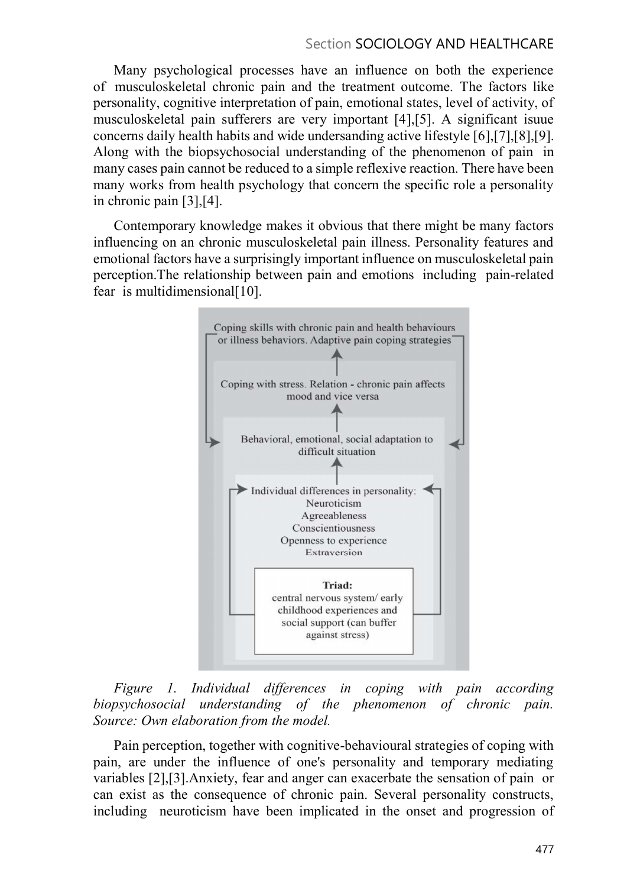### Section SOCIOLOGY AND HEALTHCARE

Many psychological processes have an influence on both the experience of musculoskeletal chronic pain and the treatment outcome. The factors like personality, cognitive interpretation of pain, emotional states, level of activity, of musculoskeletal pain sufferers are very important [4],[5]. A significant isuue concerns daily health habits and wide undersanding active lifestyle [6],[7],[8],[9]. Along with the biopsychosocial understanding of the phenomenon of pain in many cases pain cannot be reduced to a simple reflexive reaction. There have been many works from health psychology that concern the specific role a personality in chronic pain [3],[4].

Contemporary knowledge makes it obvious that there might be many factors influencing on an chronic musculoskeletal pain illness. Personality features and emotional factors have a surprisingly important influence on musculoskeletal pain perception.The relationship between pain and emotions including pain-related fear is multidimensional $[10]$ .



Figure 1. Individual differences in coping with pain according biopsychosocial understanding of the phenomenon of chronic pain. Source: Own elaboration from the model.

Pain perception, together with cognitive-behavioural strategies of coping with pain, are under the influence of one's personality and temporary mediating variables [2],[3].Anxiety, fear and anger can exacerbate the sensation of pain or can exist as the consequence of chronic pain. Several personality constructs, including neuroticism have been implicated in the onset and progression of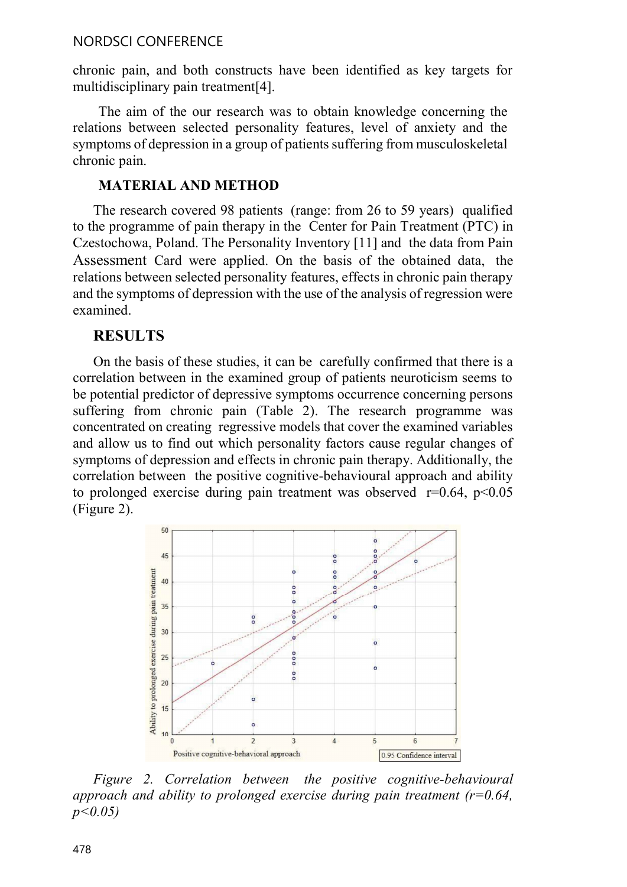### NORDSCI CONFERENCE

chronic pain, and both constructs have been identified as key targets for multidisciplinary pain treatment[4].

The aim of the our research was to obtain knowledge concerning the relations between selected personality features, level of anxiety and the symptoms of depression in a group of patients suffering from musculoskeletal chronic pain.

MATERIAL AND METHOD<br>The research covered 98 patients (range: from 26 to 59 years) qualified to the programme of pain therapy in the Center for Pain Treatment (PTC) in Czestochowa, Poland. The Personality Inventory [11] and the data from Pain Assessment Card were applied. On the basis of the obtained data, the relations between selected personality features, effects in chronic pain therapy and the symptoms of depression with the use of the analysis of regression were examined.

### RESULTS

On the basis of these studies, it can be carefully confirmed that there is a correlation between in the examined group of patients neuroticism seems to be potential predictor of depressive symptoms occurrence concerning persons suffering from chronic pain (Table 2). The research programme was concentrated on creating regressive models that cover the examined variables and allow us to find out which personality factors cause regular changes of symptoms of depression and effects in chronic pain therapy. Additionally, the correlation between the positive cognitive-behavioural approach and ability to prolonged exercise during pain treatment was observed  $r=0.64$ ,  $p<0.05$ (Figure 2).



Figure 2. Correlation between the positive cognitive-behavioural approach and ability to prolonged exercise during pain treatment ( $r=0.64$ ,  $p < 0.05$ )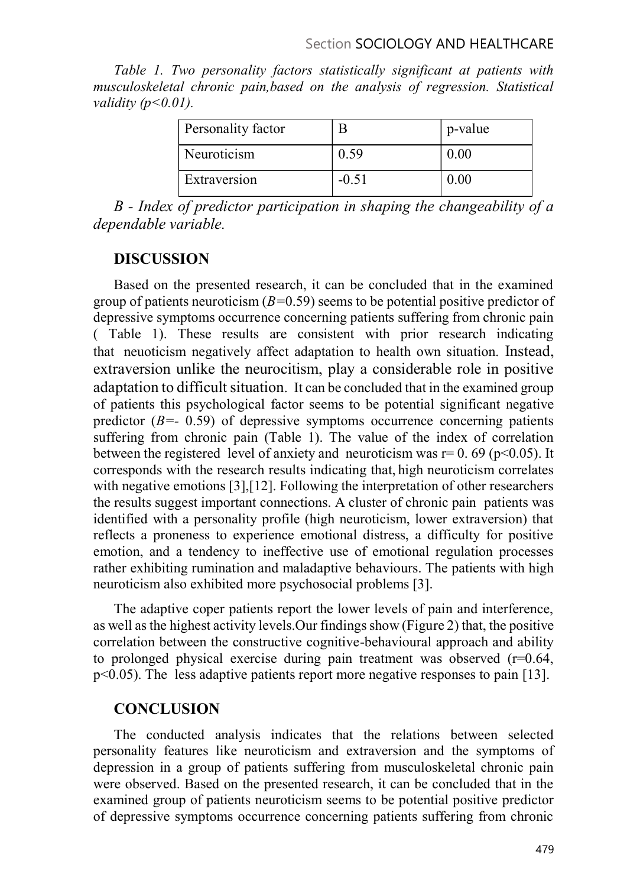Table 1. Two personality factors statistically significant at patients with musculoskeletal chronic pain,based on the analysis of regression. Statistical validity  $(p<0.01)$ .

| Personality factor |         | p-value  |  |
|--------------------|---------|----------|--|
| Neuroticism        |         | $0.00\,$ |  |
| Extraversion       | $-0.51$ | $0.00\,$ |  |

B - Index of predictor participation in shaping the changeability of a dependable variable.

# DISCUSSION

Based on the presented research, it can be concluded that in the examined group of patients neuroticism  $(B=0.59)$  seems to be potential positive predictor of depressive symptoms occurrence concerning patients suffering from chronic pain ( Table 1). These results are consistent with prior research indicating that neuoticism negatively affect adaptation to health own situation. Instead, extraversion unlike the neurocitism, play a considerable role in positive adaptation to difficult situation. It can be concluded that in the examined group of patients this psychological factor seems to be potential significant negative predictor  $(B=- 0.59)$  of depressive symptoms occurrence concerning patients suffering from chronic pain (Table 1). The value of the index of correlation between the registered level of anxiety and neuroticism was  $r= 0.69$  ( $p<0.05$ ). It corresponds with the research results indicating that, high neuroticism correlates with negative emotions [3], [12]. Following the interpretation of other researchers the results suggest important connections. A cluster of chronic pain patients was identified with a personality profile (high neuroticism, lower extraversion) that reflects a proneness to experience emotional distress, a difficulty for positive emotion, and a tendency to ineffective use of emotional regulation processes rather exhibiting rumination and maladaptive behaviours. The patients with high neuroticism also exhibited more psychosocial problems [3].

The adaptive coper patients report the lower levels of pain and interference, as well as the highest activity levels.Our findings show (Figure 2) that, the positive correlation between the constructive cognitive-behavioural approach and ability to prolonged physical exercise during pain treatment was observed  $(r=0.64,$ p<0.05). The less adaptive patients report more negative responses to pain [13].

# **CONCLUSION**

The conducted analysis indicates that the relations between selected personality features like neuroticism and extraversion and the symptoms of depression in a group of patients suffering from musculoskeletal chronic pain were observed. Based on the presented research, it can be concluded that in the examined group of patients neuroticism seems to be potential positive predictor of depressive symptoms occurrence concerning patients suffering from chronic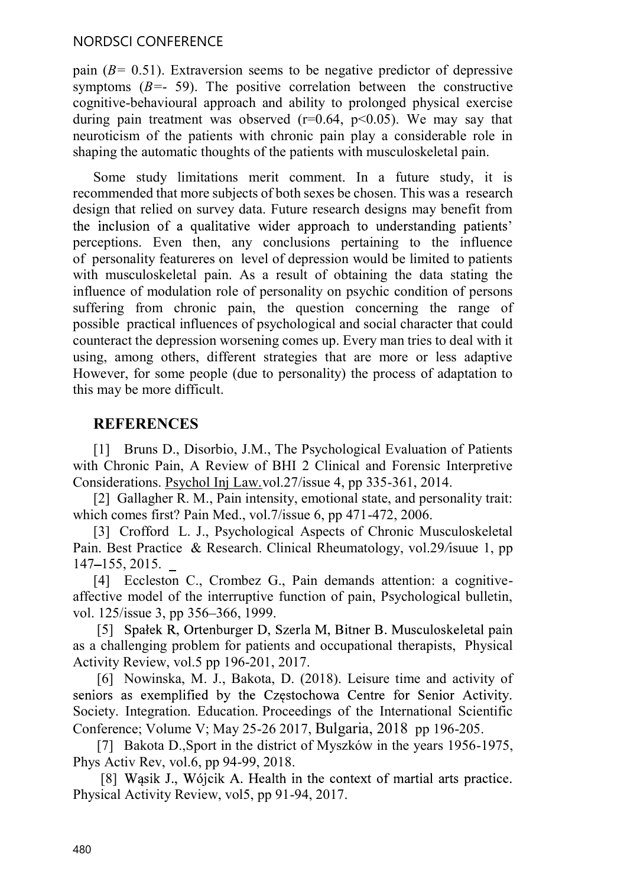### NORDSCI CONFERENCE

pain  $(B = 0.51)$ . Extraversion seems to be negative predictor of depressive symptoms  $(B=-59)$ . The positive correlation between the constructive cognitive-behavioural approach and ability to prolonged physical exercise during pain treatment was observed ( $r=0.64$ ,  $p<0.05$ ). We may say that neuroticism of the patients with chronic pain play a considerable role in shaping the automatic thoughts of the patients with musculoskeletal pain.

Some study limitations merit comment. In a future study, it is recommended that more subjects of both sexes be chosen. This was a research design that relied on survey data. Future research designs may benefit from the inclusion of a qualitative wider approach to understanding patients' perceptions. Even then, any conclusions pertaining to the influence of personality featureres on level of depression would be limited to patients with musculoskeletal pain. As a result of obtaining the data stating the influence of modulation role of personality on psychic condition of persons suffering from chronic pain, the question concerning the range of possible practical influences of psychological and social character that could counteract the depression worsening comes up. Every man tries to deal with it using, among others, different strategies that are more or less adaptive However, for some people (due to personality) the process of adaptation to this may be more difficult.

# **REFERENCES**

[1] Bruns D., Disorbio, J.M., The Psychological Evaluation of Patients with Chronic Pain, A Review of BHI 2 Clinical and Forensic Interpretive Considerations. Psychol Inj Law.vol.27/issue 4, pp 335-361, 2014.

[2] Gallagher R. M., Pain intensity, emotional state, and personality trait: which comes first? Pain Med., vol.7/issue 6, pp 471-472, 2006.

[3] Crofford L. J., Psychological Aspects of Chronic Musculoskeletal Pain. Best Practice & Research. Clinical Rheumatology, vol.29/isuue 1, pp 147 155, 2015.

[4] Eccleston C., Crombez G., Pain demands attention: a cognitiveaffective model of the interruptive function of pain, Psychological bulletin, vol. 125/issue 3, pp 356–366, 1999.

[5] Spałek R, Ortenburger D, Szerla M, Bitner B. Musculoskeletal pain as a challenging problem for patients and occupational therapists, Physical Activity Review, vol.5 pp 196-201, 2017.

 [6] Nowinska, M. J., Bakota, D. (2018). Leisure time and activity of seniors as exemplified by the Czestochowa Centre for Senior Activity. Society. Integration. Education. Proceedings of the International Scientific Conference; Volume V; May 25-26 2017, Bulgaria, 2018 pp 196-205.

[7] Bakota D., Sport in the district of Myszków in the years 1956-1975, Phys Activ Rev, vol.6, pp 94-99, 2018.

[8] Wasik J., Wójcik A. Health in the context of martial arts practice. Physical Activity Review, vol5, pp 91-94, 2017.